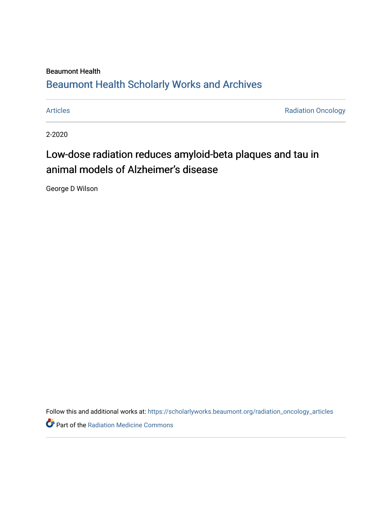## Beaumont Health [Beaumont Health Scholarly Works and Archives](https://scholarlyworks.beaumont.org/)

[Articles](https://scholarlyworks.beaumont.org/radiation_oncology_articles) **Articles Radiation Oncology** 

2-2020

# Low-dose radiation reduces amyloid-beta plaques and tau in animal models of Alzheimer's disease

George D Wilson

Follow this and additional works at: [https://scholarlyworks.beaumont.org/radiation\\_oncology\\_articles](https://scholarlyworks.beaumont.org/radiation_oncology_articles?utm_source=scholarlyworks.beaumont.org%2Fradiation_oncology_articles%2F214&utm_medium=PDF&utm_campaign=PDFCoverPages) 

Part of the [Radiation Medicine Commons](http://network.bepress.com/hgg/discipline/1416?utm_source=scholarlyworks.beaumont.org%2Fradiation_oncology_articles%2F214&utm_medium=PDF&utm_campaign=PDFCoverPages)